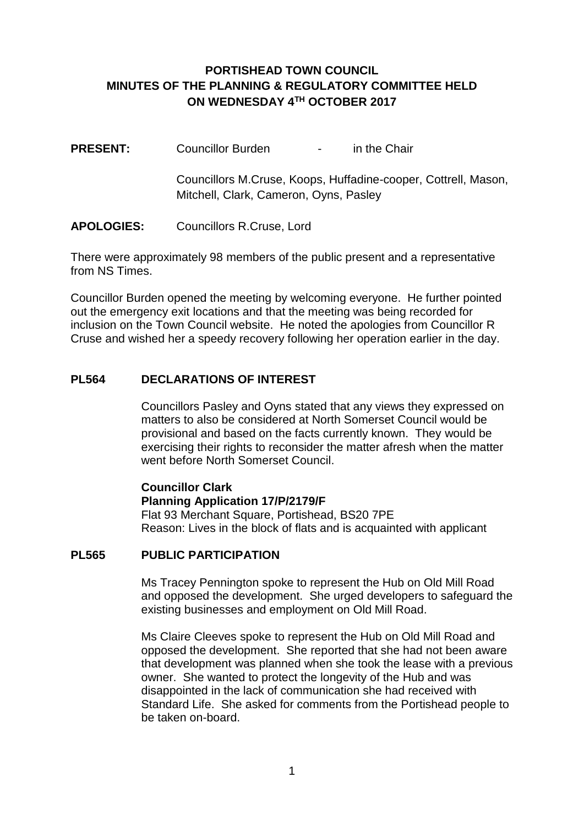## **PORTISHEAD TOWN COUNCIL MINUTES OF THE PLANNING & REGULATORY COMMITTEE HELD ON WEDNESDAY 4TH OCTOBER 2017**

**PRESENT:** Councillor Burden - in the Chair

Councillors M.Cruse, Koops, Huffadine-cooper, Cottrell, Mason, Mitchell, Clark, Cameron, Oyns, Pasley

### **APOLOGIES:** Councillors R.Cruse, Lord

There were approximately 98 members of the public present and a representative from NS Times.

Councillor Burden opened the meeting by welcoming everyone. He further pointed out the emergency exit locations and that the meeting was being recorded for inclusion on the Town Council website. He noted the apologies from Councillor R Cruse and wished her a speedy recovery following her operation earlier in the day.

### **PL564 DECLARATIONS OF INTEREST**

Councillors Pasley and Oyns stated that any views they expressed on matters to also be considered at North Somerset Council would be provisional and based on the facts currently known. They would be exercising their rights to reconsider the matter afresh when the matter went before North Somerset Council.

# **Councillor Clark**

#### **Planning Application 17/P/2179/F**

Flat 93 Merchant Square, Portishead, BS20 7PE Reason: Lives in the block of flats and is acquainted with applicant

#### **PL565 PUBLIC PARTICIPATION**

Ms Tracey Pennington spoke to represent the Hub on Old Mill Road and opposed the development. She urged developers to safeguard the existing businesses and employment on Old Mill Road.

Ms Claire Cleeves spoke to represent the Hub on Old Mill Road and opposed the development. She reported that she had not been aware that development was planned when she took the lease with a previous owner. She wanted to protect the longevity of the Hub and was disappointed in the lack of communication she had received with Standard Life. She asked for comments from the Portishead people to be taken on-board.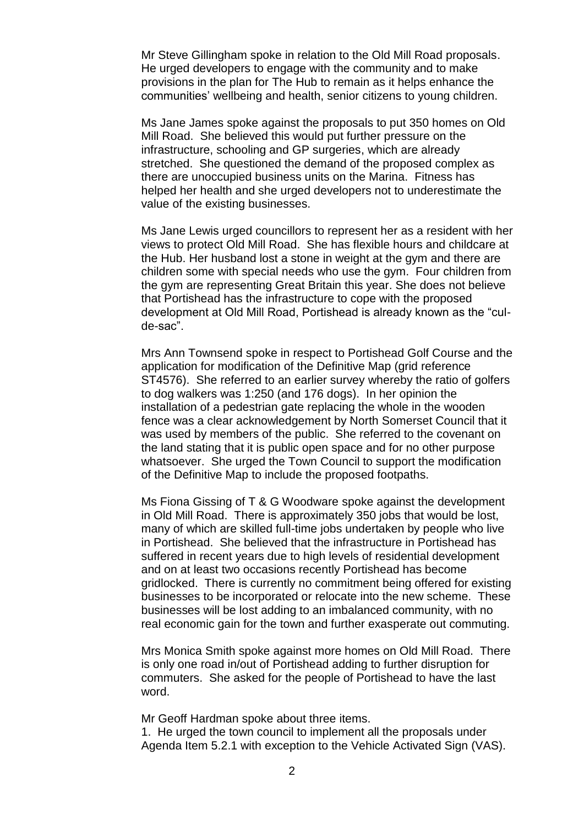Mr Steve Gillingham spoke in relation to the Old Mill Road proposals. He urged developers to engage with the community and to make provisions in the plan for The Hub to remain as it helps enhance the communities' wellbeing and health, senior citizens to young children.

Ms Jane James spoke against the proposals to put 350 homes on Old Mill Road. She believed this would put further pressure on the infrastructure, schooling and GP surgeries, which are already stretched. She questioned the demand of the proposed complex as there are unoccupied business units on the Marina. Fitness has helped her health and she urged developers not to underestimate the value of the existing businesses.

Ms Jane Lewis urged councillors to represent her as a resident with her views to protect Old Mill Road. She has flexible hours and childcare at the Hub. Her husband lost a stone in weight at the gym and there are children some with special needs who use the gym. Four children from the gym are representing Great Britain this year. She does not believe that Portishead has the infrastructure to cope with the proposed development at Old Mill Road, Portishead is already known as the "culde-sac".

Mrs Ann Townsend spoke in respect to Portishead Golf Course and the application for modification of the Definitive Map (grid reference ST4576). She referred to an earlier survey whereby the ratio of golfers to dog walkers was 1:250 (and 176 dogs). In her opinion the installation of a pedestrian gate replacing the whole in the wooden fence was a clear acknowledgement by North Somerset Council that it was used by members of the public. She referred to the covenant on the land stating that it is public open space and for no other purpose whatsoever. She urged the Town Council to support the modification of the Definitive Map to include the proposed footpaths.

Ms Fiona Gissing of T & G Woodware spoke against the development in Old Mill Road. There is approximately 350 jobs that would be lost, many of which are skilled full-time jobs undertaken by people who live in Portishead. She believed that the infrastructure in Portishead has suffered in recent years due to high levels of residential development and on at least two occasions recently Portishead has become gridlocked. There is currently no commitment being offered for existing businesses to be incorporated or relocate into the new scheme. These businesses will be lost adding to an imbalanced community, with no real economic gain for the town and further exasperate out commuting.

Mrs Monica Smith spoke against more homes on Old Mill Road. There is only one road in/out of Portishead adding to further disruption for commuters. She asked for the people of Portishead to have the last word.

Mr Geoff Hardman spoke about three items.

1. He urged the town council to implement all the proposals under Agenda Item 5.2.1 with exception to the Vehicle Activated Sign (VAS).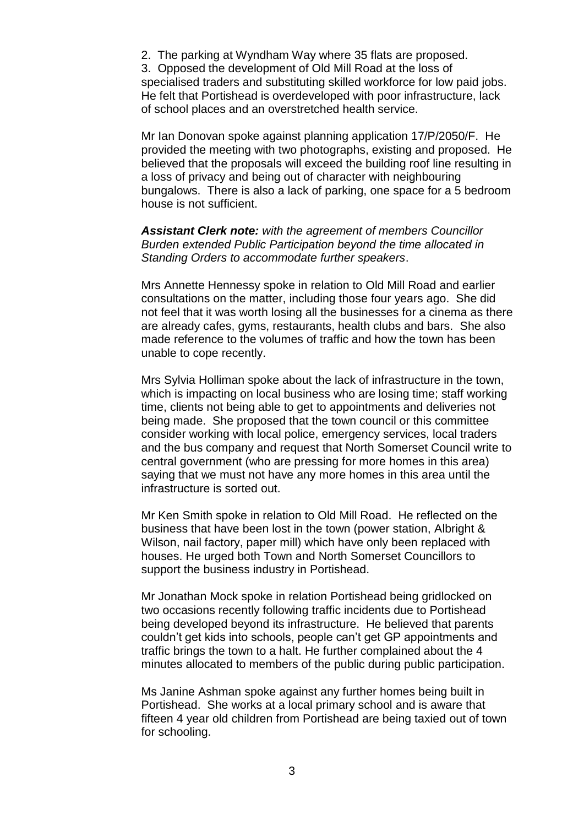2. The parking at Wyndham Way where 35 flats are proposed.

3. Opposed the development of Old Mill Road at the loss of specialised traders and substituting skilled workforce for low paid jobs. He felt that Portishead is overdeveloped with poor infrastructure, lack of school places and an overstretched health service.

Mr Ian Donovan spoke against planning application 17/P/2050/F. He provided the meeting with two photographs, existing and proposed. He believed that the proposals will exceed the building roof line resulting in a loss of privacy and being out of character with neighbouring bungalows. There is also a lack of parking, one space for a 5 bedroom house is not sufficient.

#### *Assistant Clerk note: with the agreement of members Councillor Burden extended Public Participation beyond the time allocated in Standing Orders to accommodate further speakers*.

Mrs Annette Hennessy spoke in relation to Old Mill Road and earlier consultations on the matter, including those four years ago. She did not feel that it was worth losing all the businesses for a cinema as there are already cafes, gyms, restaurants, health clubs and bars. She also made reference to the volumes of traffic and how the town has been unable to cope recently.

Mrs Sylvia Holliman spoke about the lack of infrastructure in the town, which is impacting on local business who are losing time; staff working time, clients not being able to get to appointments and deliveries not being made. She proposed that the town council or this committee consider working with local police, emergency services, local traders and the bus company and request that North Somerset Council write to central government (who are pressing for more homes in this area) saying that we must not have any more homes in this area until the infrastructure is sorted out.

Mr Ken Smith spoke in relation to Old Mill Road. He reflected on the business that have been lost in the town (power station, Albright & Wilson, nail factory, paper mill) which have only been replaced with houses. He urged both Town and North Somerset Councillors to support the business industry in Portishead.

Mr Jonathan Mock spoke in relation Portishead being gridlocked on two occasions recently following traffic incidents due to Portishead being developed beyond its infrastructure. He believed that parents couldn't get kids into schools, people can't get GP appointments and traffic brings the town to a halt. He further complained about the 4 minutes allocated to members of the public during public participation.

Ms Janine Ashman spoke against any further homes being built in Portishead. She works at a local primary school and is aware that fifteen 4 year old children from Portishead are being taxied out of town for schooling.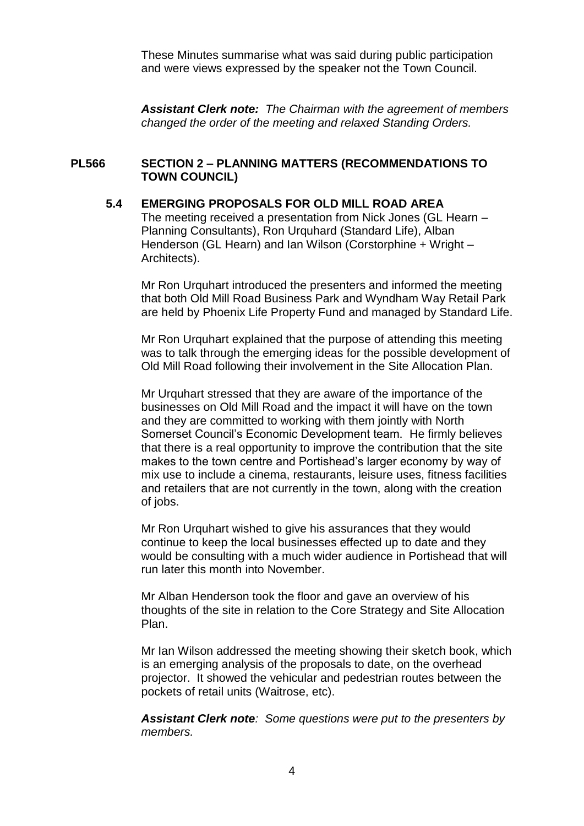These Minutes summarise what was said during public participation and were views expressed by the speaker not the Town Council.

*Assistant Clerk note: The Chairman with the agreement of members changed the order of the meeting and relaxed Standing Orders.*

### **PL566 SECTION 2 – PLANNING MATTERS (RECOMMENDATIONS TO TOWN COUNCIL)**

### **5.4 EMERGING PROPOSALS FOR OLD MILL ROAD AREA**

The meeting received a presentation from Nick Jones (GL Hearn – Planning Consultants), Ron Urquhard (Standard Life), Alban Henderson (GL Hearn) and Ian Wilson (Corstorphine + Wright – Architects).

Mr Ron Urquhart introduced the presenters and informed the meeting that both Old Mill Road Business Park and Wyndham Way Retail Park are held by Phoenix Life Property Fund and managed by Standard Life.

Mr Ron Urquhart explained that the purpose of attending this meeting was to talk through the emerging ideas for the possible development of Old Mill Road following their involvement in the Site Allocation Plan.

Mr Urquhart stressed that they are aware of the importance of the businesses on Old Mill Road and the impact it will have on the town and they are committed to working with them jointly with North Somerset Council's Economic Development team. He firmly believes that there is a real opportunity to improve the contribution that the site makes to the town centre and Portishead's larger economy by way of mix use to include a cinema, restaurants, leisure uses, fitness facilities and retailers that are not currently in the town, along with the creation of jobs.

Mr Ron Urquhart wished to give his assurances that they would continue to keep the local businesses effected up to date and they would be consulting with a much wider audience in Portishead that will run later this month into November.

Mr Alban Henderson took the floor and gave an overview of his thoughts of the site in relation to the Core Strategy and Site Allocation Plan.

Mr Ian Wilson addressed the meeting showing their sketch book, which is an emerging analysis of the proposals to date, on the overhead projector. It showed the vehicular and pedestrian routes between the pockets of retail units (Waitrose, etc).

*Assistant Clerk note: Some questions were put to the presenters by members.*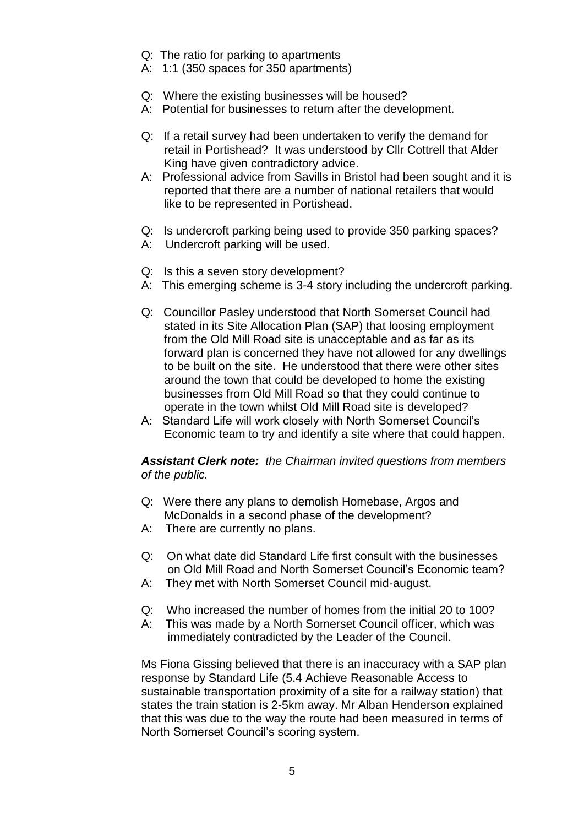- Q: The ratio for parking to apartments
- A: 1:1 (350 spaces for 350 apartments)
- Q: Where the existing businesses will be housed?
- A: Potential for businesses to return after the development.
- Q: If a retail survey had been undertaken to verify the demand for retail in Portishead? It was understood by Cllr Cottrell that Alder King have given contradictory advice.
- A: Professional advice from Savills in Bristol had been sought and it is reported that there are a number of national retailers that would like to be represented in Portishead.
- Q: Is undercroft parking being used to provide 350 parking spaces?
- A: Undercroft parking will be used.
- Q: Is this a seven story development?
- A: This emerging scheme is 3-4 story including the undercroft parking.
- Q: Councillor Pasley understood that North Somerset Council had stated in its Site Allocation Plan (SAP) that loosing employment from the Old Mill Road site is unacceptable and as far as its forward plan is concerned they have not allowed for any dwellings to be built on the site. He understood that there were other sites around the town that could be developed to home the existing businesses from Old Mill Road so that they could continue to operate in the town whilst Old Mill Road site is developed?
- A: Standard Life will work closely with North Somerset Council's Economic team to try and identify a site where that could happen.

#### *Assistant Clerk note: the Chairman invited questions from members of the public.*

- Q: Were there any plans to demolish Homebase, Argos and McDonalds in a second phase of the development?
- A: There are currently no plans.
- Q: On what date did Standard Life first consult with the businesses on Old Mill Road and North Somerset Council's Economic team?
- A: They met with North Somerset Council mid-august.
- Q: Who increased the number of homes from the initial 20 to 100?
- A: This was made by a North Somerset Council officer, which was immediately contradicted by the Leader of the Council.

Ms Fiona Gissing believed that there is an inaccuracy with a SAP plan response by Standard Life (5.4 Achieve Reasonable Access to sustainable transportation proximity of a site for a railway station) that states the train station is 2-5km away. Mr Alban Henderson explained that this was due to the way the route had been measured in terms of North Somerset Council's scoring system.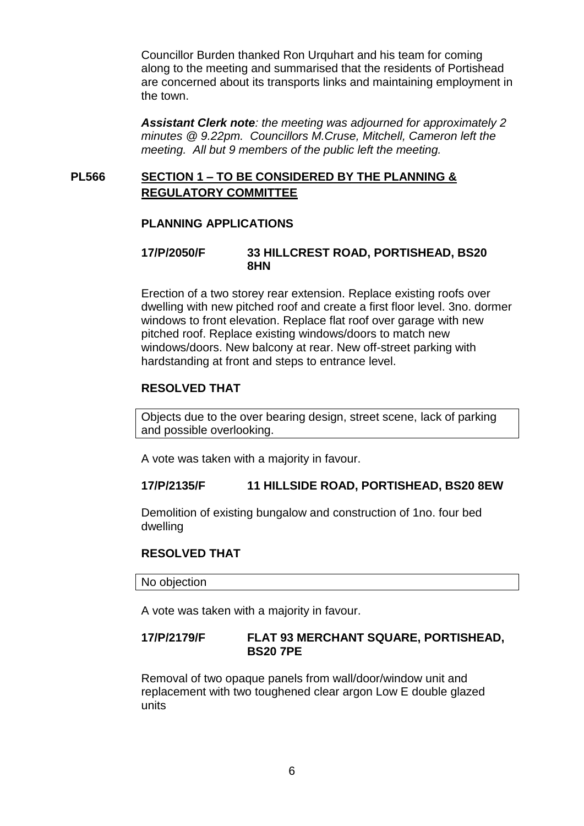Councillor Burden thanked Ron Urquhart and his team for coming along to the meeting and summarised that the residents of Portishead are concerned about its transports links and maintaining employment in the town.

*Assistant Clerk note: the meeting was adjourned for approximately 2 minutes @ 9.22pm. Councillors M.Cruse, Mitchell, Cameron left the meeting. All but 9 members of the public left the meeting.*

### **PL566 SECTION 1 – TO BE CONSIDERED BY THE PLANNING & REGULATORY COMMITTEE**

### **PLANNING APPLICATIONS**

### **17/P/2050/F 33 HILLCREST ROAD, PORTISHEAD, BS20 8HN**

Erection of a two storey rear extension. Replace existing roofs over dwelling with new pitched roof and create a first floor level. 3no. dormer windows to front elevation. Replace flat roof over garage with new pitched roof. Replace existing windows/doors to match new windows/doors. New balcony at rear. New off-street parking with hardstanding at front and steps to entrance level.

### **RESOLVED THAT**

Objects due to the over bearing design, street scene, lack of parking and possible overlooking.

A vote was taken with a majority in favour.

### **17/P/2135/F 11 HILLSIDE ROAD, PORTISHEAD, BS20 8EW**

Demolition of existing bungalow and construction of 1no. four bed dwelling

#### **RESOLVED THAT**

No objection

A vote was taken with a majority in favour.

### **17/P/2179/F FLAT 93 MERCHANT SQUARE, PORTISHEAD, BS20 7PE**

Removal of two opaque panels from wall/door/window unit and replacement with two toughened clear argon Low E double glazed units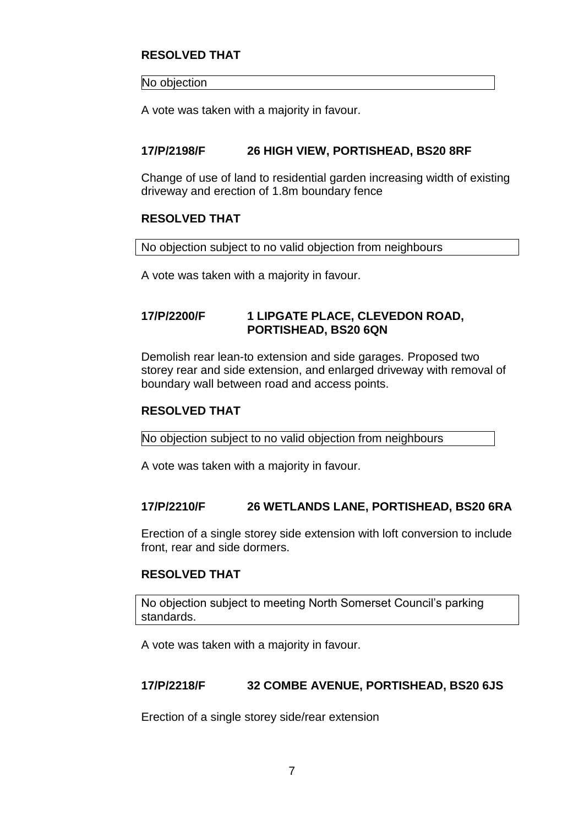## **RESOLVED THAT**

No objection

A vote was taken with a majority in favour.

### **17/P/2198/F 26 HIGH VIEW, PORTISHEAD, BS20 8RF**

Change of use of land to residential garden increasing width of existing driveway and erection of 1.8m boundary fence

### **RESOLVED THAT**

No objection subject to no valid objection from neighbours

A vote was taken with a majority in favour.

## **17/P/2200/F 1 LIPGATE PLACE, CLEVEDON ROAD, PORTISHEAD, BS20 6QN**

Demolish rear lean-to extension and side garages. Proposed two storey rear and side extension, and enlarged driveway with removal of boundary wall between road and access points.

### **RESOLVED THAT**

No objection subject to no valid objection from neighbours

A vote was taken with a majority in favour.

### **17/P/2210/F 26 WETLANDS LANE, PORTISHEAD, BS20 6RA**

Erection of a single storey side extension with loft conversion to include front, rear and side dormers.

## **RESOLVED THAT**

No objection subject to meeting North Somerset Council's parking standards.

A vote was taken with a majority in favour.

### **17/P/2218/F 32 COMBE AVENUE, PORTISHEAD, BS20 6JS**

Erection of a single storey side/rear extension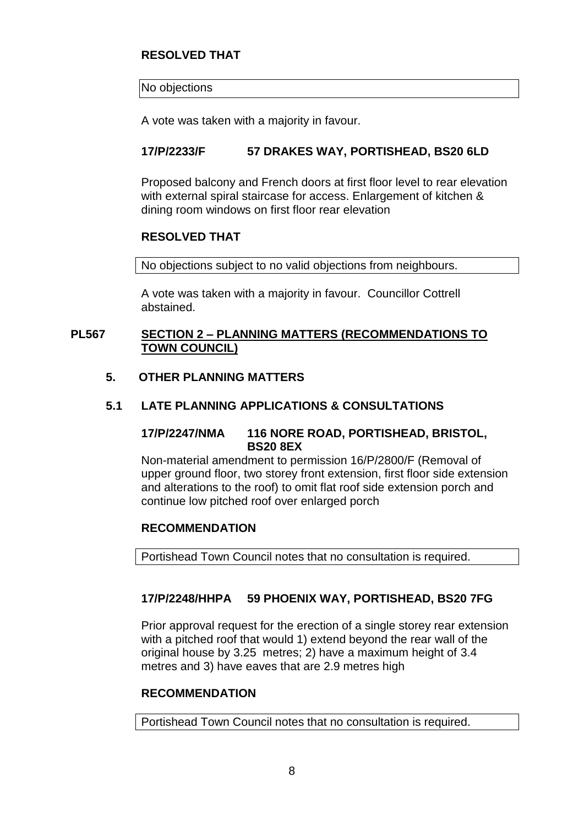## **RESOLVED THAT**

#### No objections

A vote was taken with a majority in favour.

## **17/P/2233/F 57 DRAKES WAY, PORTISHEAD, BS20 6LD**

Proposed balcony and French doors at first floor level to rear elevation with external spiral staircase for access. Enlargement of kitchen & dining room windows on first floor rear elevation

### **RESOLVED THAT**

No objections subject to no valid objections from neighbours.

A vote was taken with a majority in favour. Councillor Cottrell abstained.

### **PL567 SECTION 2 – PLANNING MATTERS (RECOMMENDATIONS TO TOWN COUNCIL)**

### **5. OTHER PLANNING MATTERS**

### **5.1 LATE PLANNING APPLICATIONS & CONSULTATIONS**

#### **17/P/2247/NMA 116 NORE ROAD, PORTISHEAD, BRISTOL, BS20 8EX**

Non-material amendment to permission 16/P/2800/F (Removal of upper ground floor, two storey front extension, first floor side extension and alterations to the roof) to omit flat roof side extension porch and continue low pitched roof over enlarged porch

### **RECOMMENDATION**

Portishead Town Council notes that no consultation is required.

### **17/P/2248/HHPA 59 PHOENIX WAY, PORTISHEAD, BS20 7FG**

Prior approval request for the erection of a single storey rear extension with a pitched roof that would 1) extend beyond the rear wall of the original house by 3.25 metres; 2) have a maximum height of 3.4 metres and 3) have eaves that are 2.9 metres high

## **RECOMMENDATION**

Portishead Town Council notes that no consultation is required.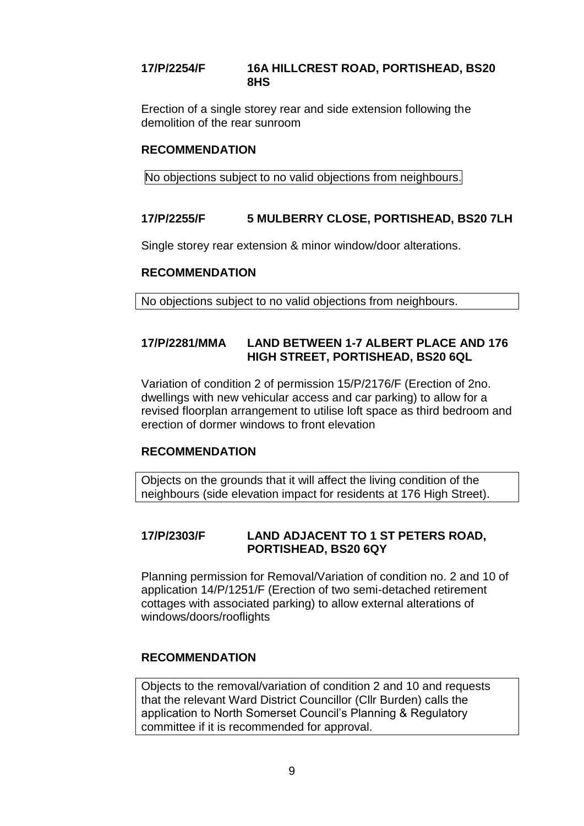### **17/P/2254/F 16A HILLCREST ROAD, PORTISHEAD, BS20 8HS**

Erection of a single storey rear and side extension following the demolition of the rear sunroom

### **RECOMMENDATION**

No objections subject to no valid objections from neighbours.

### **17/P/2255/F 5 MULBERRY CLOSE, PORTISHEAD, BS20 7LH**

Single storey rear extension & minor window/door alterations.

#### **RECOMMENDATION**

No objections subject to no valid objections from neighbours.

## **17/P/2281/MMA LAND BETWEEN 1-7 ALBERT PLACE AND 176 HIGH STREET, PORTISHEAD, BS20 6QL**

Variation of condition 2 of permission 15/P/2176/F (Erection of 2no. dwellings with new vehicular access and car parking) to allow for a revised floorplan arrangement to utilise loft space as third bedroom and erection of dormer windows to front elevation

### **RECOMMENDATION**

Objects on the grounds that it will affect the living condition of the neighbours (side elevation impact for residents at 176 High Street).

## **17/P/2303/F LAND ADJACENT TO 1 ST PETERS ROAD, PORTISHEAD, BS20 6QY**

Planning permission for Removal/Variation of condition no. 2 and 10 of application 14/P/1251/F (Erection of two semi-detached retirement cottages with associated parking) to allow external alterations of windows/doors/rooflights

### **RECOMMENDATION**

Objects to the removal/variation of condition 2 and 10 and requests that the relevant Ward District Councillor (Cllr Burden) calls the application to North Somerset Council's Planning & Regulatory committee if it is recommended for approval.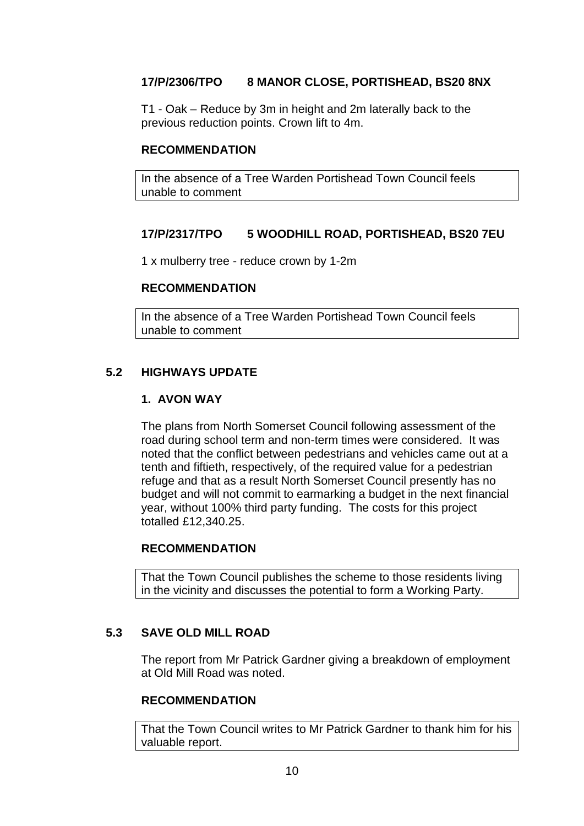## **17/P/2306/TPO 8 MANOR CLOSE, PORTISHEAD, BS20 8NX**

T1 - Oak – Reduce by 3m in height and 2m laterally back to the previous reduction points. Crown lift to 4m.

### **RECOMMENDATION**

In the absence of a Tree Warden Portishead Town Council feels unable to comment

## **17/P/2317/TPO 5 WOODHILL ROAD, PORTISHEAD, BS20 7EU**

1 x mulberry tree - reduce crown by 1-2m

### **RECOMMENDATION**

In the absence of a Tree Warden Portishead Town Council feels unable to comment

## **5.2 HIGHWAYS UPDATE**

### **1. AVON WAY**

The plans from North Somerset Council following assessment of the road during school term and non-term times were considered. It was noted that the conflict between pedestrians and vehicles came out at a tenth and fiftieth, respectively, of the required value for a pedestrian refuge and that as a result North Somerset Council presently has no budget and will not commit to earmarking a budget in the next financial year, without 100% third party funding. The costs for this project totalled £12,340.25.

### **RECOMMENDATION**

That the Town Council publishes the scheme to those residents living in the vicinity and discusses the potential to form a Working Party.

### **5.3 SAVE OLD MILL ROAD**

The report from Mr Patrick Gardner giving a breakdown of employment at Old Mill Road was noted.

### **RECOMMENDATION**

That the Town Council writes to Mr Patrick Gardner to thank him for his valuable report.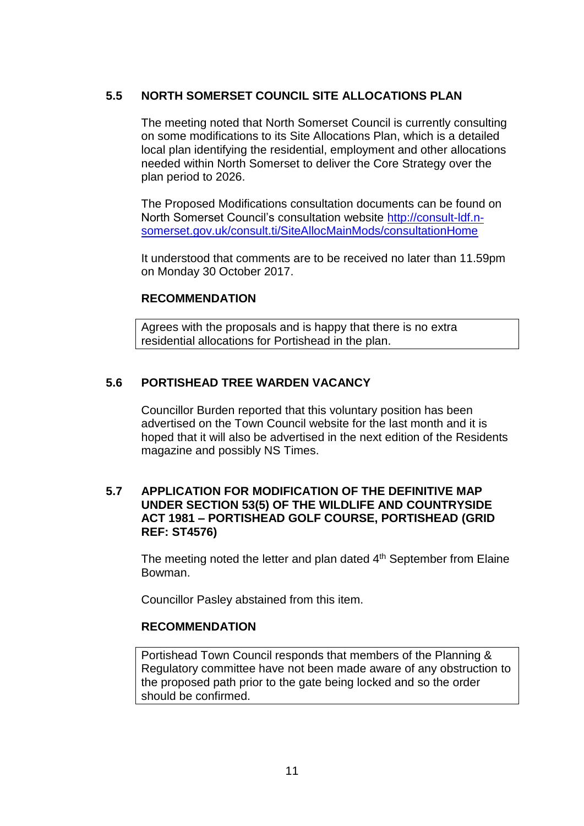## **5.5 NORTH SOMERSET COUNCIL SITE ALLOCATIONS PLAN**

The meeting noted that North Somerset Council is currently consulting on some modifications to its Site Allocations Plan, which is a detailed local plan identifying the residential, employment and other allocations needed within North Somerset to deliver the Core Strategy over the plan period to 2026.

The Proposed Modifications consultation documents can be found on North Somerset Council's consultation website [http://consult-ldf.n](http://consult-ldf.n-somerset.gov.uk/consult.ti/SiteAllocMainMods/consultationHome)[somerset.gov.uk/consult.ti/SiteAllocMainMods/consultationHome](http://consult-ldf.n-somerset.gov.uk/consult.ti/SiteAllocMainMods/consultationHome)

It understood that comments are to be received no later than 11.59pm on Monday 30 October 2017.

### **RECOMMENDATION**

Agrees with the proposals and is happy that there is no extra residential allocations for Portishead in the plan.

### **5.6 PORTISHEAD TREE WARDEN VACANCY**

Councillor Burden reported that this voluntary position has been advertised on the Town Council website for the last month and it is hoped that it will also be advertised in the next edition of the Residents magazine and possibly NS Times.

### **5.7 APPLICATION FOR MODIFICATION OF THE DEFINITIVE MAP UNDER SECTION 53(5) OF THE WILDLIFE AND COUNTRYSIDE ACT 1981 – PORTISHEAD GOLF COURSE, PORTISHEAD (GRID REF: ST4576)**

The meeting noted the letter and plan dated 4<sup>th</sup> September from Elaine Bowman.

Councillor Pasley abstained from this item.

### **RECOMMENDATION**

Portishead Town Council responds that members of the Planning & Regulatory committee have not been made aware of any obstruction to the proposed path prior to the gate being locked and so the order should be confirmed.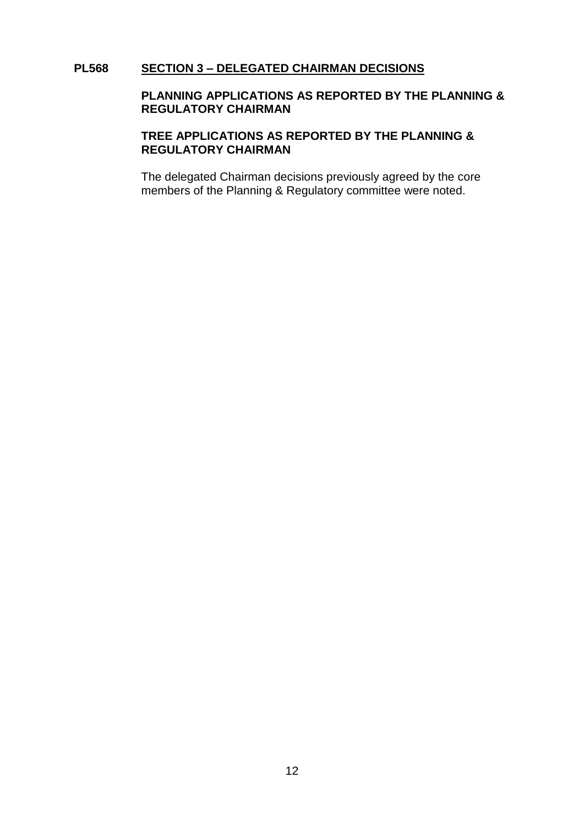#### **PL568 SECTION 3 – DELEGATED CHAIRMAN DECISIONS**

### **PLANNING APPLICATIONS AS REPORTED BY THE PLANNING & REGULATORY CHAIRMAN**

### **TREE APPLICATIONS AS REPORTED BY THE PLANNING & REGULATORY CHAIRMAN**

The delegated Chairman decisions previously agreed by the core members of the Planning & Regulatory committee were noted.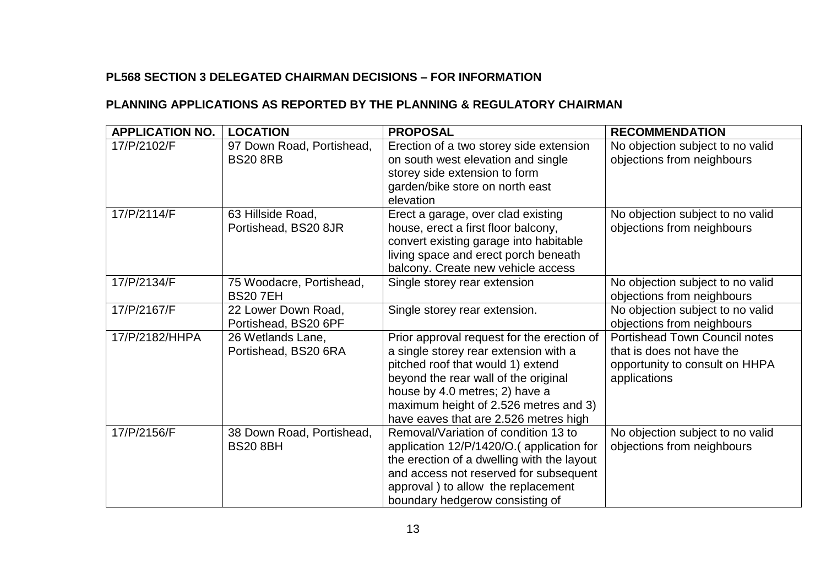## **PL568 SECTION 3 DELEGATED CHAIRMAN DECISIONS – FOR INFORMATION**

## **PLANNING APPLICATIONS AS REPORTED BY THE PLANNING & REGULATORY CHAIRMAN**

| <b>APPLICATION NO.</b> | <b>LOCATION</b>                              | <b>PROPOSAL</b>                                                                                                                                                                                                                                                                      | <b>RECOMMENDATION</b>                                                                                               |
|------------------------|----------------------------------------------|--------------------------------------------------------------------------------------------------------------------------------------------------------------------------------------------------------------------------------------------------------------------------------------|---------------------------------------------------------------------------------------------------------------------|
| 17/P/2102/F            | 97 Down Road, Portishead,<br><b>BS20 8RB</b> | Erection of a two storey side extension<br>on south west elevation and single<br>storey side extension to form<br>garden/bike store on north east<br>elevation                                                                                                                       | No objection subject to no valid<br>objections from neighbours                                                      |
| 17/P/2114/F            | 63 Hillside Road,<br>Portishead, BS20 8JR    | Erect a garage, over clad existing<br>house, erect a first floor balcony,<br>convert existing garage into habitable<br>living space and erect porch beneath<br>balcony. Create new vehicle access                                                                                    | No objection subject to no valid<br>objections from neighbours                                                      |
| 17/P/2134/F            | 75 Woodacre, Portishead,<br><b>BS207EH</b>   | Single storey rear extension                                                                                                                                                                                                                                                         | No objection subject to no valid<br>objections from neighbours                                                      |
| 17/P/2167/F            | 22 Lower Down Road,<br>Portishead, BS20 6PF  | Single storey rear extension.                                                                                                                                                                                                                                                        | No objection subject to no valid<br>objections from neighbours                                                      |
| 17/P/2182/HHPA         | 26 Wetlands Lane,<br>Portishead, BS20 6RA    | Prior approval request for the erection of<br>a single storey rear extension with a<br>pitched roof that would 1) extend<br>beyond the rear wall of the original<br>house by 4.0 metres; 2) have a<br>maximum height of 2.526 metres and 3)<br>have eaves that are 2.526 metres high | <b>Portishead Town Council notes</b><br>that is does not have the<br>opportunity to consult on HHPA<br>applications |
| 17/P/2156/F            | 38 Down Road, Portishead,<br><b>BS20 8BH</b> | Removal/Variation of condition 13 to<br>application 12/P/1420/O.(application for<br>the erection of a dwelling with the layout<br>and access not reserved for subsequent<br>approval) to allow the replacement<br>boundary hedgerow consisting of                                    | No objection subject to no valid<br>objections from neighbours                                                      |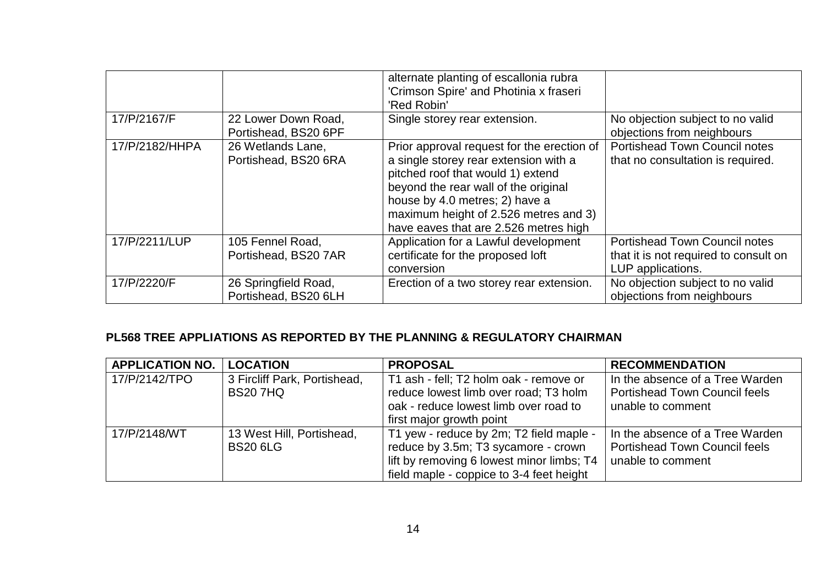|                |                                              | alternate planting of escallonia rubra<br>'Crimson Spire' and Photinia x fraseri<br>'Red Robin'                                                                                                                                                                                      |                                                                                                    |
|----------------|----------------------------------------------|--------------------------------------------------------------------------------------------------------------------------------------------------------------------------------------------------------------------------------------------------------------------------------------|----------------------------------------------------------------------------------------------------|
| 17/P/2167/F    | 22 Lower Down Road,<br>Portishead, BS20 6PF  | Single storey rear extension.                                                                                                                                                                                                                                                        | No objection subject to no valid<br>objections from neighbours                                     |
| 17/P/2182/HHPA | 26 Wetlands Lane,<br>Portishead, BS20 6RA    | Prior approval request for the erection of<br>a single storey rear extension with a<br>pitched roof that would 1) extend<br>beyond the rear wall of the original<br>house by 4.0 metres; 2) have a<br>maximum height of 2.526 metres and 3)<br>have eaves that are 2.526 metres high | <b>Portishead Town Council notes</b><br>that no consultation is required.                          |
| 17/P/2211/LUP  | 105 Fennel Road,<br>Portishead, BS20 7AR     | Application for a Lawful development<br>certificate for the proposed loft<br>conversion                                                                                                                                                                                              | <b>Portishead Town Council notes</b><br>that it is not required to consult on<br>LUP applications. |
| 17/P/2220/F    | 26 Springfield Road,<br>Portishead, BS20 6LH | Erection of a two storey rear extension.                                                                                                                                                                                                                                             | No objection subject to no valid<br>objections from neighbours                                     |

# **PL568 TREE APPLIATIONS AS REPORTED BY THE PLANNING & REGULATORY CHAIRMAN**

| <b>APPLICATION NO.</b> | <b>LOCATION</b>              | <b>PROPOSAL</b>                           | <b>RECOMMENDATION</b>                |
|------------------------|------------------------------|-------------------------------------------|--------------------------------------|
| 17/P/2142/TPO          | 3 Fircliff Park, Portishead, | T1 ash - fell; T2 holm oak - remove or    | In the absence of a Tree Warden      |
|                        | <b>BS207HQ</b>               | reduce lowest limb over road; T3 holm     | <b>Portishead Town Council feels</b> |
|                        |                              | oak - reduce lowest limb over road to     | unable to comment                    |
|                        |                              | first major growth point                  |                                      |
| 17/P/2148/WT           | 13 West Hill, Portishead,    | T1 yew - reduce by 2m; T2 field maple -   | In the absence of a Tree Warden      |
|                        | <b>BS20 6LG</b>              | reduce by 3.5m; T3 sycamore - crown       | <b>Portishead Town Council feels</b> |
|                        |                              | lift by removing 6 lowest minor limbs; T4 | unable to comment                    |
|                        |                              | field maple - coppice to 3-4 feet height  |                                      |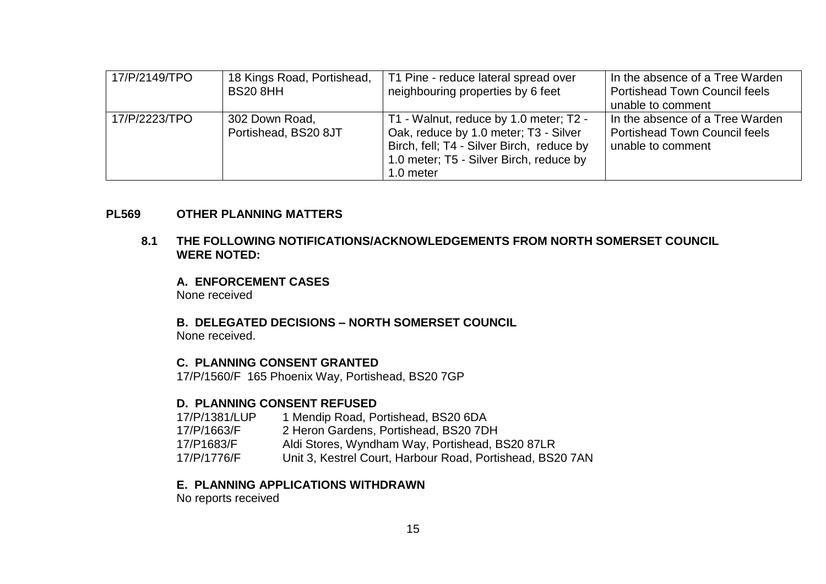| 17/P/2149/TPO | 18 Kings Road, Portishead,<br><b>BS20 8HH</b> | T1 Pine - reduce lateral spread over<br>neighbouring properties by 6 feet                                                                                                            | In the absence of a Tree Warden<br><b>Portishead Town Council feels</b><br>unable to comment |
|---------------|-----------------------------------------------|--------------------------------------------------------------------------------------------------------------------------------------------------------------------------------------|----------------------------------------------------------------------------------------------|
| 17/P/2223/TPO | 302 Down Road,<br>Portishead, BS20 8JT        | T1 - Walnut, reduce by 1.0 meter; T2 -<br>Oak, reduce by 1.0 meter; T3 - Silver<br>Birch, fell; T4 - Silver Birch, reduce by<br>1.0 meter; T5 - Silver Birch, reduce by<br>1.0 meter | In the absence of a Tree Warden<br><b>Portishead Town Council feels</b><br>unable to comment |

#### **PL569 OTHER PLANNING MATTERS**

#### **8.1 THE FOLLOWING NOTIFICATIONS/ACKNOWLEDGEMENTS FROM NORTH SOMERSET COUNCIL WERE NOTED:**

**A. ENFORCEMENT CASES** None received

**B. DELEGATED DECISIONS – NORTH SOMERSET COUNCIL** None received.

#### **C. PLANNING CONSENT GRANTED**

17/P/1560/F 165 Phoenix Way, Portishead, BS20 7GP

#### **D. PLANNING CONSENT REFUSED**

17/P/1381/LUP 1 Mendip Road, Portishead, BS20 6DA<br>17/P/1663/F 2 Heron Gardens. Portishead. BS20 7D 2 Heron Gardens, Portishead, BS20 7DH 17/P1683/F Aldi Stores, Wyndham Way, Portishead, BS20 87LR 17/P/1776/F Unit 3, Kestrel Court, Harbour Road, Portishead, BS20 7AN

#### **E. PLANNING APPLICATIONS WITHDRAWN**

No reports received